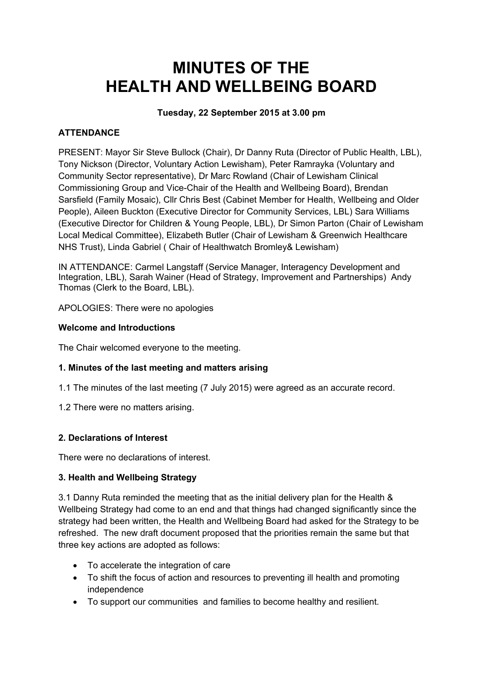# **MINUTES OF THE HEALTH AND WELLBEING BOARD**

# **Tuesday, 22 September 2015 at 3.00 pm**

# **ATTENDANCE**

PRESENT: Mayor Sir Steve Bullock (Chair), Dr Danny Ruta (Director of Public Health, LBL), Tony Nickson (Director, Voluntary Action Lewisham), Peter Ramrayka (Voluntary and Community Sector representative), Dr Marc Rowland (Chair of Lewisham Clinical Commissioning Group and Vice-Chair of the Health and Wellbeing Board), Brendan Sarsfield (Family Mosaic), Cllr Chris Best (Cabinet Member for Health, Wellbeing and Older People), Aileen Buckton (Executive Director for Community Services, LBL) Sara Williams (Executive Director for Children & Young People, LBL), Dr Simon Parton (Chair of Lewisham Local Medical Committee), Elizabeth Butler (Chair of Lewisham & Greenwich Healthcare NHS Trust), Linda Gabriel ( Chair of Healthwatch Bromley& Lewisham)

IN ATTENDANCE: Carmel Langstaff (Service Manager, Interagency Development and Integration, LBL), Sarah Wainer (Head of Strategy, Improvement and Partnerships) Andy Thomas (Clerk to the Board, LBL).

APOLOGIES: There were no apologies

### **Welcome and Introductions**

The Chair welcomed everyone to the meeting.

## **1. Minutes of the last meeting and matters arising**

- 1.1 The minutes of the last meeting (7 July 2015) were agreed as an accurate record.
- 1.2 There were no matters arising.

## **2. Declarations of Interest**

There were no declarations of interest.

#### **3. Health and Wellbeing Strategy**

3.1 Danny Ruta reminded the meeting that as the initial delivery plan for the Health & Wellbeing Strategy had come to an end and that things had changed significantly since the strategy had been written, the Health and Wellbeing Board had asked for the Strategy to be refreshed. The new draft document proposed that the priorities remain the same but that three key actions are adopted as follows:

- To accelerate the integration of care
- To shift the focus of action and resources to preventing ill health and promoting independence
- To support our communities and families to become healthy and resilient.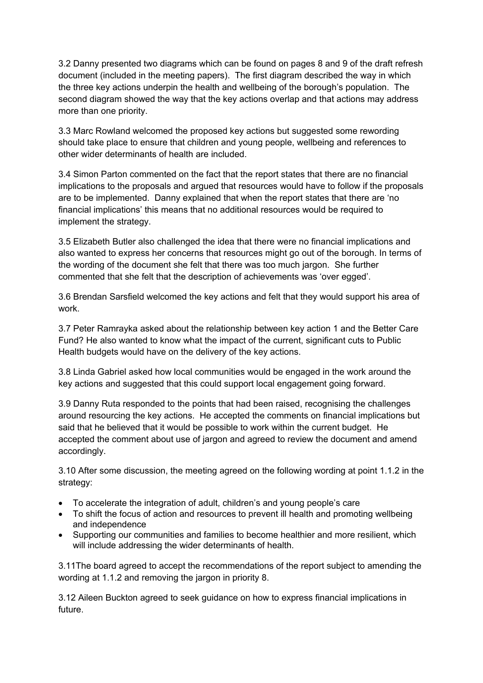3.2 Danny presented two diagrams which can be found on pages 8 and 9 of the draft refresh document (included in the meeting papers). The first diagram described the way in which the three key actions underpin the health and wellbeing of the borough's population. The second diagram showed the way that the key actions overlap and that actions may address more than one priority.

3.3 Marc Rowland welcomed the proposed key actions but suggested some rewording should take place to ensure that children and young people, wellbeing and references to other wider determinants of health are included.

3.4 Simon Parton commented on the fact that the report states that there are no financial implications to the proposals and argued that resources would have to follow if the proposals are to be implemented. Danny explained that when the report states that there are 'no financial implications' this means that no additional resources would be required to implement the strategy.

3.5 Elizabeth Butler also challenged the idea that there were no financial implications and also wanted to express her concerns that resources might go out of the borough. In terms of the wording of the document she felt that there was too much jargon. She further commented that she felt that the description of achievements was 'over egged'.

3.6 Brendan Sarsfield welcomed the key actions and felt that they would support his area of work.

3.7 Peter Ramrayka asked about the relationship between key action 1 and the Better Care Fund? He also wanted to know what the impact of the current, significant cuts to Public Health budgets would have on the delivery of the key actions.

3.8 Linda Gabriel asked how local communities would be engaged in the work around the key actions and suggested that this could support local engagement going forward.

3.9 Danny Ruta responded to the points that had been raised, recognising the challenges around resourcing the key actions. He accepted the comments on financial implications but said that he believed that it would be possible to work within the current budget. He accepted the comment about use of jargon and agreed to review the document and amend accordingly.

3.10 After some discussion, the meeting agreed on the following wording at point 1.1.2 in the strategy:

- To accelerate the integration of adult, children's and young people's care
- To shift the focus of action and resources to prevent ill health and promoting wellbeing and independence
- Supporting our communities and families to become healthier and more resilient, which will include addressing the wider determinants of health.

3.11The board agreed to accept the recommendations of the report subject to amending the wording at 1.1.2 and removing the jargon in priority 8.

3.12 Aileen Buckton agreed to seek guidance on how to express financial implications in future.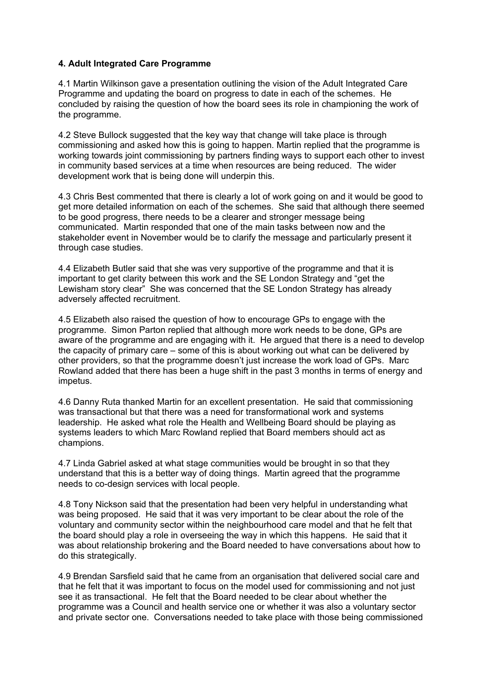#### **4. Adult Integrated Care Programme**

4.1 Martin Wilkinson gave a presentation outlining the vision of the Adult Integrated Care Programme and updating the board on progress to date in each of the schemes. He concluded by raising the question of how the board sees its role in championing the work of the programme.

4.2 Steve Bullock suggested that the key way that change will take place is through commissioning and asked how this is going to happen. Martin replied that the programme is working towards joint commissioning by partners finding ways to support each other to invest in community based services at a time when resources are being reduced. The wider development work that is being done will underpin this.

4.3 Chris Best commented that there is clearly a lot of work going on and it would be good to get more detailed information on each of the schemes. She said that although there seemed to be good progress, there needs to be a clearer and stronger message being communicated. Martin responded that one of the main tasks between now and the stakeholder event in November would be to clarify the message and particularly present it through case studies.

4.4 Elizabeth Butler said that she was very supportive of the programme and that it is important to get clarity between this work and the SE London Strategy and "get the Lewisham story clear" She was concerned that the SE London Strategy has already adversely affected recruitment.

4.5 Elizabeth also raised the question of how to encourage GPs to engage with the programme. Simon Parton replied that although more work needs to be done, GPs are aware of the programme and are engaging with it. He argued that there is a need to develop the capacity of primary care – some of this is about working out what can be delivered by other providers, so that the programme doesn't just increase the work load of GPs. Marc Rowland added that there has been a huge shift in the past 3 months in terms of energy and impetus.

4.6 Danny Ruta thanked Martin for an excellent presentation. He said that commissioning was transactional but that there was a need for transformational work and systems leadership. He asked what role the Health and Wellbeing Board should be playing as systems leaders to which Marc Rowland replied that Board members should act as champions.

4.7 Linda Gabriel asked at what stage communities would be brought in so that they understand that this is a better way of doing things. Martin agreed that the programme needs to co-design services with local people.

4.8 Tony Nickson said that the presentation had been very helpful in understanding what was being proposed. He said that it was very important to be clear about the role of the voluntary and community sector within the neighbourhood care model and that he felt that the board should play a role in overseeing the way in which this happens. He said that it was about relationship brokering and the Board needed to have conversations about how to do this strategically.

4.9 Brendan Sarsfield said that he came from an organisation that delivered social care and that he felt that it was important to focus on the model used for commissioning and not just see it as transactional. He felt that the Board needed to be clear about whether the programme was a Council and health service one or whether it was also a voluntary sector and private sector one. Conversations needed to take place with those being commissioned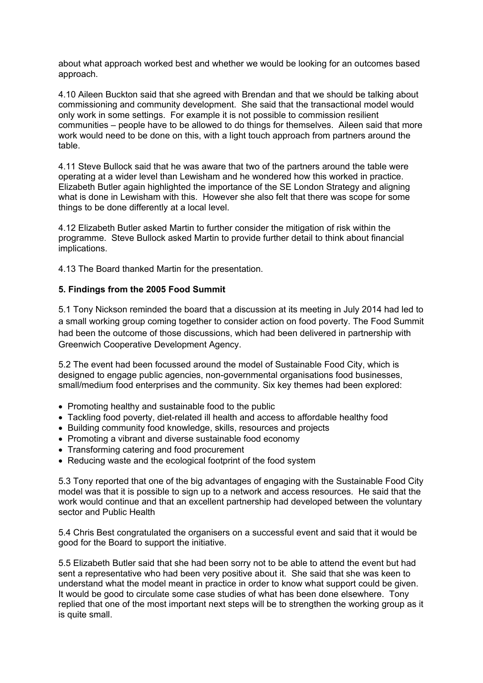about what approach worked best and whether we would be looking for an outcomes based approach.

4.10 Aileen Buckton said that she agreed with Brendan and that we should be talking about commissioning and community development. She said that the transactional model would only work in some settings. For example it is not possible to commission resilient communities – people have to be allowed to do things for themselves. Aileen said that more work would need to be done on this, with a light touch approach from partners around the table.

4.11 Steve Bullock said that he was aware that two of the partners around the table were operating at a wider level than Lewisham and he wondered how this worked in practice. Elizabeth Butler again highlighted the importance of the SE London Strategy and aligning what is done in Lewisham with this. However she also felt that there was scope for some things to be done differently at a local level.

4.12 Elizabeth Butler asked Martin to further consider the mitigation of risk within the programme. Steve Bullock asked Martin to provide further detail to think about financial implications.

4.13 The Board thanked Martin for the presentation.

#### **5. Findings from the 2005 Food Summit**

5.1 Tony Nickson reminded the board that a discussion at its meeting in July 2014 had led to a small working group coming together to consider action on food poverty. The Food Summit had been the outcome of those discussions, which had been delivered in partnership with Greenwich Cooperative Development Agency.

5.2 The event had been focussed around the model of Sustainable Food City, which is designed to engage public agencies, non-governmental organisations food businesses, small/medium food enterprises and the community. Six key themes had been explored:

- Promoting healthy and sustainable food to the public
- Tackling food poverty, diet-related ill health and access to affordable healthy food
- Building community food knowledge, skills, resources and projects
- Promoting a vibrant and diverse sustainable food economy
- Transforming catering and food procurement
- Reducing waste and the ecological footprint of the food system

5.3 Tony reported that one of the big advantages of engaging with the Sustainable Food City model was that it is possible to sign up to a network and access resources. He said that the work would continue and that an excellent partnership had developed between the voluntary sector and Public Health

5.4 Chris Best congratulated the organisers on a successful event and said that it would be good for the Board to support the initiative.

5.5 Elizabeth Butler said that she had been sorry not to be able to attend the event but had sent a representative who had been very positive about it. She said that she was keen to understand what the model meant in practice in order to know what support could be given. It would be good to circulate some case studies of what has been done elsewhere. Tony replied that one of the most important next steps will be to strengthen the working group as it is quite small.